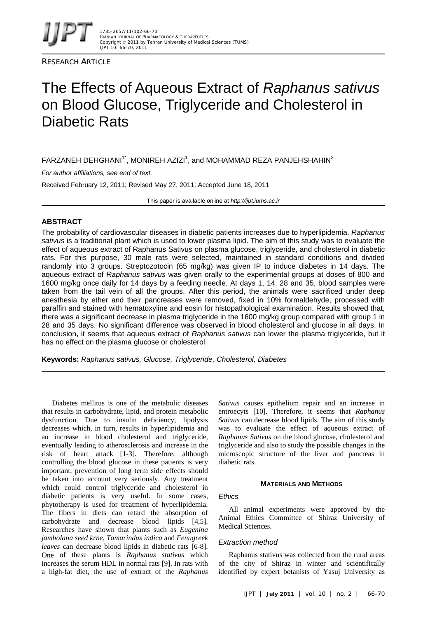

RESEARCH ARTICLE

# The Effects of Aqueous Extract of *Raphanus sativus* on Blood Glucose, Triglyceride and Cholesterol in Diabetic Rats

<code>FARZANEH</code> DEHGHANI $^1$ , MONIREH AZIZI $^1$ , and MOHAMMAD REZA PANJEHSHAHIN $^2$ 

*For author affiliations, see end of text.* 

Received February 12, 2011; Revised May 27, 2011; Accepted June 18, 2011

This paper is available online at *http://ijpt.iums.ac.ir*

# **ABSTRACT**

The probability of cardiovascular diseases in diabetic patients increases due to hyperlipidemia. *Raphanus sativus* is a traditional plant which is used to lower plasma lipid. The aim of this study was to evaluate the effect of aqueous extract of Raphanus Sativus on plasma glucose, triglyceride, and cholesterol in diabetic rats. For this purpose, 30 male rats were selected, maintained in standard conditions and divided randomly into 3 groups. Streptozotocin (65 mg/kg) was given IP to induce diabetes in 14 days. The aqueous extract of *Raphanus sativus* was given orally to the experimental groups at doses of 800 and 1600 mg/kg once daily for 14 days by a feeding needle. At days 1, 14, 28 and 35, blood samples were taken from the tail vein of all the groups. After this period, the animals were sacrificed under deep anesthesia by ether and their pancreases were removed, fixed in 10% formaldehyde, processed with paraffin and stained with hematoxyline and eosin for histopathological examination. Results showed that, there was a significant decrease in plasma triglyceride in the 1600 mg/kg group compared with group 1 in 28 and 35 days. No significant difference was observed in blood cholesterol and glucose in all days. In conclusion**,** it seems that aqueous extract of *Raphanus sativus* can lower the plasma triglyceride, but it has no effect on the plasma glucose or cholesterol.

**Keywords:** *Raphanus sativus, Glucose, Triglyceride, Cholesterol, Diabetes*

Diabetes mellitus is one of the metabolic diseases that results in carbohydrate, lipid, and protein metabolic dysfunction. Due to insulin deficiency, lipolysis decreases which, in turn, results in hyperlipidemia and an increase in blood cholesterol and triglyceride, eventually leading to atherosclerosis and increase in the risk of heart attack [1-3]. Therefore, although controlling the blood glucose in these patients is very important, prevention of long term side effects should be taken into account very seriously. Any treatment which could control triglyceride and cholesterol in diabetic patients is very useful. In some cases, phytotherapy is used for treatment of hyperlipidemia. The fibers in diets can retard the absorption of carbohydrate and decrease blood lipids [4,5]. Researches have shown that plants such as *Eugenina jambolana seed krne*, *Tamarindus indica* and *Fenugreek leaves* can decrease blood lipids in diabetic rats [6-8]. One of these plants is *Raphanus stativus* which increases the serum HDL in normal rats [9]. In rats with a high-fat diet, the use of extract of the *Raphanus*  *Sativus* causes epithelium repair and an increase in entroecyts [ [10\]](#page-4-4). Therefore, it seems that *Raphanus Sativus* can decrease blood lipids. The aim of this study was to evaluate the effect of aqueous extract of *Raphanus Sativus* on the blood glucose, cholesterol and triglyceride and also to study the possible changes in the microscopic structure of the liver and pancreas in diabetic rats.

## **MATERIALS AND METHODS**

## *Ethics*

All animal experiments were approved by the Animal Ethics Committee of Shiraz University of Medical Sciences.

## *Extraction method*

Raphanus stativus was collected from the rural areas of the city of Shiraz in winter and scientifically identified by expert botanists of Yasuj University as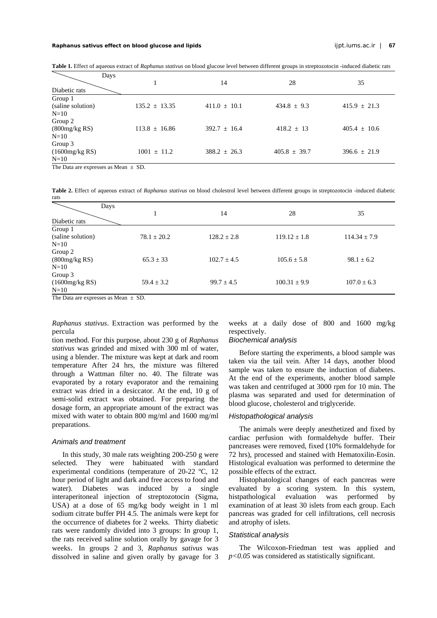| Table 1. Effect of aqueous extract of Raphanus stativus on blood glucose level between different groups in streptozotocin -induced diabetic rats |  |
|--------------------------------------------------------------------------------------------------------------------------------------------------|--|
|--------------------------------------------------------------------------------------------------------------------------------------------------|--|

| Days<br>Diabetic rats                  |                   | 14               | 28               | 35               |
|----------------------------------------|-------------------|------------------|------------------|------------------|
| Group 1<br>(saline solution)<br>$N=10$ | $135.2 \pm 13.35$ | $411.0 \pm 10.1$ | $434.8 \pm 9.3$  | $415.9 \pm 21.3$ |
| Group 2<br>(800mg/kg RS)<br>$N=10$     | $113.8 \pm 16.86$ | $392.7 \pm 16.4$ | $418.2 \pm 13$   | $405.4 \pm 10.6$ |
| Group 3<br>(1600mg/kg RS)<br>$N=10$    | $1001 \pm 11.2$   | $388.2 \pm 26.3$ | $405.8 \pm 39.7$ | $396.6 \pm 21.9$ |
| The Data are expresses as $Mean + SD$  |                   |                  |                  |                  |

The Data are expresses as Mean  $\pm$  SD.

**Table 2.** Effect of aqueous extract of *Raphanus stativus* on blood cholestrol level between different groups in streptozotocin -induced diabetic rats

| Days<br>Diabetic rats                  |                 | 14              | 28               | 35               |
|----------------------------------------|-----------------|-----------------|------------------|------------------|
| Group 1<br>(saline solution)<br>$N=10$ | $78.1 \pm 20.2$ | $128.2 \pm 2.8$ | $119.12 \pm 1.8$ | $114.34 \pm 7.9$ |
| Group 2<br>(800mg/kg RS)<br>$N=10$     | $65.3 \pm 33$   | $102.7 \pm 4.5$ | $105.6 \pm 5.8$  | $98.1 \pm 6.2$   |
| Group 3<br>(1600mg/kg RS)<br>$N=10$    | $59.4 \pm 3.2$  | $99.7 \pm 4.5$  | $100.31 \pm 9.9$ | $107.0 \pm 6.3$  |

The Data are expresses as Mean  $\pm$  SD.

*Raphanus stativus*. Extraction was performed by the percula

tion method. For this purpose, about 230 g of *Raphanus stativus* was grinded and mixed with 300 ml of water, using a blender. The mixture was kept at dark and room temperature After 24 hrs, the mixture was filtered through a Wattman filter no. 40. The filtrate was evaporated by a rotary evaporator and the remaining extract was dried in a desiccator. At the end, 10 g of semi-solid extract was obtained. For preparing the dosage form, an appropriate amount of the extract was mixed with water to obtain 800 mg/ml and 1600 mg/ml preparations.

#### *Animals and treatment*

In this study, 30 male rats weighting 200-250 g were selected. They were habituated with standard experimental conditions (temperature of 20-22 ºC, 12 hour period of light and dark and free access to food and water). Diabetes was induced by a single interaperitoneal injection of streptozotocin (Sigma, USA) at a dose of 65 mg/kg body weight in 1 ml sodium citrate buffer PH 4.5. The animals were kept for the occurrence of diabetes for 2 weeks. Thirty diabetic rats were randomly divided into 3 groups: In group 1, the rats received saline solution orally by gavage for 3 weeks. In groups 2 and 3*, Raphanus sativus* was dissolved in saline and given orally by gavage for 3

weeks at a daily dose of 800 and 1600 mg/kg respectively.

# *Biochemical analysis*

Before starting the experiments, a blood sample was taken via the tail vein. After 14 days, another blood sample was taken to ensure the induction of diabetes. At the end of the experiments, another blood sample was taken and centrifuged at 3000 rpm for 10 min. The plasma was separated and used for determination of blood glucose, cholesterol and triglyceride.

## *Histopathological analysis*

The animals were deeply anesthetized and fixed by cardiac perfusion with formaldehyde buffer. Their pancreases were removed, fixed (10% formaldehyde for 72 hrs), processed and stained with Hematoxilin-Eosin. Histological evaluation was performed to determine the possible effects of the extract.

Histophatological changes of each pancreas were evaluated by a scoring system. In this system, histpathological evaluation was performed by examination of at least 30 islets from each group. Each pancreas was graded for cell infiltrations, cell necrosis and atrophy of islets.

#### *Statistical analysis*

The Wilcoxon-Friedman test was applied and *p<0.05* was considered as statistically significant.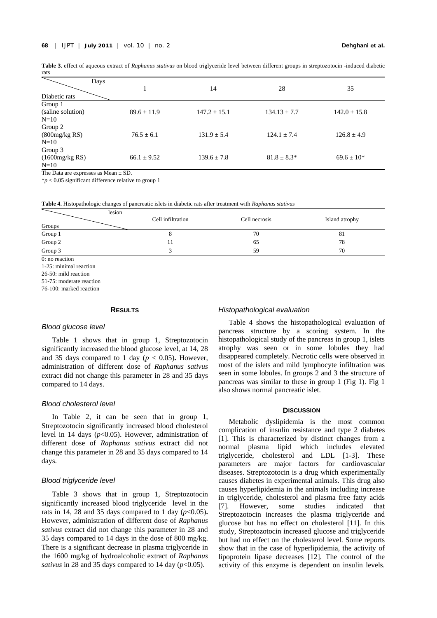| rats                                   |                 |                  |                  |                  |
|----------------------------------------|-----------------|------------------|------------------|------------------|
| Days<br>Diabetic rats                  |                 | 14               | 28               | 35               |
| Group 1<br>(saline solution)<br>$N=10$ | $89.6 \pm 11.9$ | $147.2 \pm 15.1$ | $134.13 \pm 7.7$ | $142.0 \pm 15.8$ |

 $76.5 \pm 6.1$  131.9  $\pm$  5.4 124.1  $\pm$  7.4 126.8  $\pm$  4.9

66.1  $\pm$  9.52 139.6  $\pm$  7.8 81.8  $\pm$  8.3\* 69.6  $\pm$  10\*

**Table 3.** effect of aqueous extract of *Raphanus stativus* on blood triglyceride level between different groups in streptozotocin -induced diabetic

The Data are expresses as Mean  $\pm$  SD.

\**p* < 0.05 significant difference relative to group 1

**Table 4.** Histopathologic changes of pancreatic islets in diabetic rats after treatment with *Raphanus stativus*

| lesion<br>Groups | Cell infiltration | Cell necrosis | Island atrophy |
|------------------|-------------------|---------------|----------------|
| Group 1          |                   | 70            | 81             |
| Group $2$        | 11                | 65            | 78             |
| Group 3          |                   | 59            | 70             |
| 0: no reaction   |                   |               |                |

1-25: minimal reaction

Group 2 (800mg/kg RS)  $N=10$ 

Group 3 (1600mg/kg RS)

 $N=10$ 

26-50: mild reaction

51-75: moderate reaction

76-100: marked reaction

## **RESULTS**

### *Blood glucose level*

Table 1 shows that in group 1, Streptozotocin significantly increased the blood glucose level, at 14, 28 and 35 days compared to 1 day ( $p < 0.05$ ). However, administration of different dose of *Raphanus sativus* extract did not change this parameter in 28 and 35 days compared to 14 days.

#### *Blood cholesterol level*

In Table 2, it can be seen that in group 1, Streptozotocin significantly increased blood cholesterol level in 14 days (*p*<0.05). However, administration of different dose of *Raphanus sativus* extract did not change this parameter in 28 and 35 days compared to 14 days.

#### *Blood triglyceride level*

Table 3 shows that in group 1, Streptozotocin significantly increased blood triglyceride level in the rats in 14, 28 and 35 days compared to 1 day  $(p<0.05)$ . However, administration of different dose of *Raphanus sativus* extract did not change this parameter in 28 and 35 days compared to 14 days in the dose of 800 mg/kg. There is a significant decrease in plasma triglyceride in the 1600 mg/kg of hydroalcoholic extract of *Raphanus sativus* in 28 and 35 days compared to 14 day  $(p<0.05)$ .

#### *Histopathological evaluation*

Table 4 shows the histopathological evaluation of pancreas structure by a scoring system. In the histopathological study of the pancreas in group 1, islets atrophy was seen or in some lobules they had disappeared completely. Necrotic cells were observed in most of the islets and mild lymphocyte infiltration was seen in some lobules. In groups 2 and 3 the structure of pancreas was similar to these in group 1 (Fig 1). Fig 1 also shows normal pancreatic islet.

#### **DISCUSSION**

Metabolic dyslipidemia is the most common complication of insulin resistance and type 2 diabetes [1]. This is characterized by distinct changes from a normal plasma lipid which includes elevated triglyceride, cholesterol and LDL [1-3]. These parameters are major factors for cardiovascular diseases. Streptozotocin is a drug which experimentally causes diabetes in experimental animals. This drug also causes hyperlipidemia in the animals including increase in triglyceride, cholesterol and plasma free fatty acids [7]. However, some studies indicated that Streptozotocin increases the plasma triglyceride and glucose but has no effect on cholesterol [ [11\]](#page-4-6). In this study, Streptozotocin increased glucose and triglyceride but had no effect on the cholesterol level. Some reports show that in the case of hyperlipidemia, the activity of lipoprotein lipase decreases [ [12\]](#page-4-7). The control of the activity of this enzyme is dependent on insulin levels.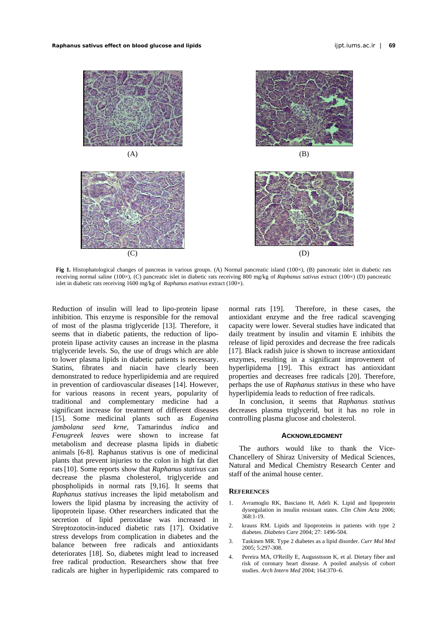*Raphanus sativus* **effect on blood glucose and lipids** ijpt.iums.ac.ir | **69** 



**Fig 1.** Histophatological changes of pancreas in various groups. (A) Normal pancreatic island (100×), (B) pancreatic islet in diabetic rats receiving normal saline (100×), (C) pancreatic islet in diabetic rats receiving 800 mg/kg of *Raphanus sativus* extract (100×) (D) pancreatic islet in diabetic rats receiving 1600 mg/kg of *Raphanus esativus* extract (100×).

<span id="page-3-0"></span>Reduction of insulin will lead to lipo-protein lipase inhibition. This enzyme is responsible for the removal of most of the plasma triglyceride [\[ 13](#page-4-8)]. Therefore, it seems that in diabetic patients, the reduction of lipoprotein lipase activity causes an increase in the plasma triglyceride levels. So, the use of drugs which are able to lower plasma lipids in diabetic patients is necessary. Statins, fibrates and niacin have clearly been demonstrated to reduce hyperlipidemia and are required in prevention of cardiovascular diseases [ [14\]](#page-4-9). However, for various reasons in recent years, popularity of traditional and complementary medicine had a significant increase for treatment of different diseases [\[ 15](#page-4-0)]. Some medicinal plants such as *Eugenina jambolana seed krne*, Tamarindus *indica* and *Fenugreek leaves* were shown to increase fat metabolism and decrease plasma lipids in diabetic animals [6-8]. Raphanus stativus is one of medicinal plants that prevent injuries to the colon in high fat diet rats [10]. Some reports show that *Raphanus stativus* can decrease the plasma cholesterol, triglyceride and phospholipids in normal rats [9,16]. It seems that *Raphanus stativus* increases the lipid metabolism and lowers the lipid plasma by increasing the activity of lipoprotein lipase. Other researchers indicated that the secretion of lipid peroxidase was increased in Streptozotocin-induced diabetic rats [17]. Oxidative stress develops from complication in diabetes and the balance between free radicals and antioxidants deteriorates [18]. So, diabetes might lead to increased free radical production. Researchers show that free radicals are higher in hyperlipidemic rats compared to

normal rats [19]. Therefore, in these cases, the antioxidant enzyme and the free radical scavenging capacity were lower. Several studies have indicated that daily treatment by insulin and vitamin E inhibits the release of lipid peroxides and decrease the free radicals [17]. Black radish juice is shown to increase antioxidant enzymes, resulting in a significant improvement of hyperlipidema [19]. This extract has antioxidant properties and decreases free radicals [\[ 20\]](#page-4-13). Therefore, perhaps the use of *Raphanus stativus* in these who have hyperlipidemia leads to reduction of free radicals.

In conclusion, it seems that *Raphanus stativus* decreases plasma triglycerid, but it has no role in controlling plasma glucose and cholesterol.

#### **ACKNOWLEDGMENT**

The authors would like to thank the Vice-Chancellery of Shiraz University of Medical Sciences, Natural and Medical Chemistry Research Center and staff of the animal house center.

#### **REFERENCES**

- 1. Avramoglu RK, Basciano H, Adeli K. Lipid and lipoprotein dysregulation in insulin resistant states. *Clin Chim Acta* 2006; 368:1-19.
- 2. krauss RM. Lipids and lipoproteins in patients with type 2 diabetes. *Diabetes Care* 2004; 27: 1496-504.
- <span id="page-3-1"></span>3. Taskinen MR. Type 2 diabetes as a lipid disorder. *Curr Mol Med* 2005; 5:297-308.
- <span id="page-3-2"></span>4. Pereira MA, O'Reilly E, Augusstsson K, et al. Dietary fiber and risk of coronary heart disease. A pooled analysis of cohort studies. *Arch Intern Med* 2004; 164:370–6.